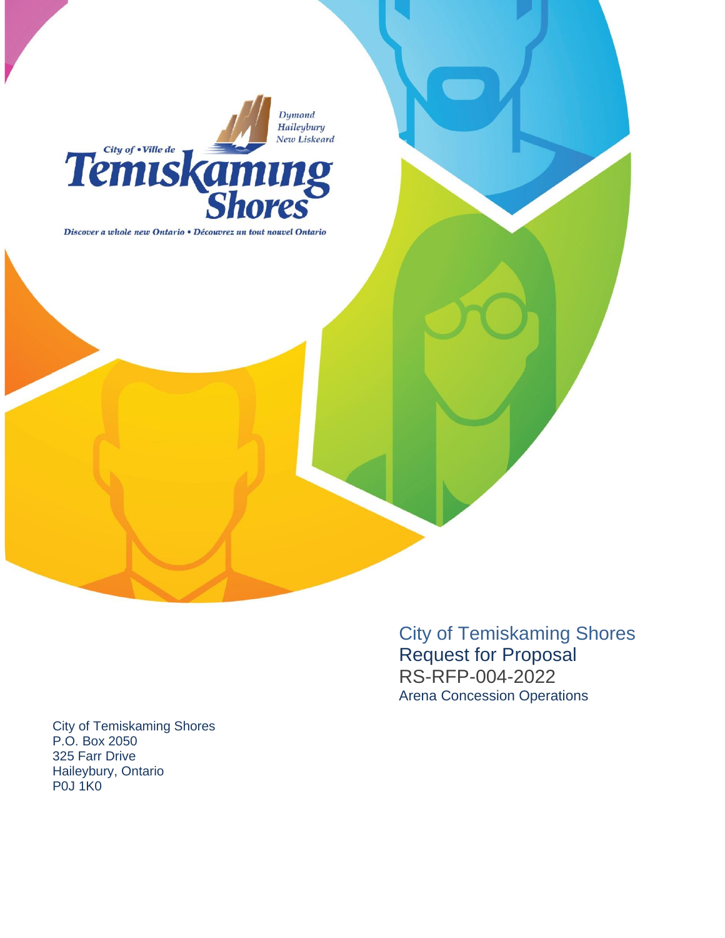Dymond Haileybury New Liskeard



Discover a whole new Ontario • Découvrez un tout nouvel Ontario

City of Temiskaming Shores Request for Proposal RS -RFP -00 4 -202 2 Arena Concession Operations

City of Temiskaming Shores P.O. Box 2050 325 Farr Drive Haileybury, Ontario P0J 1K0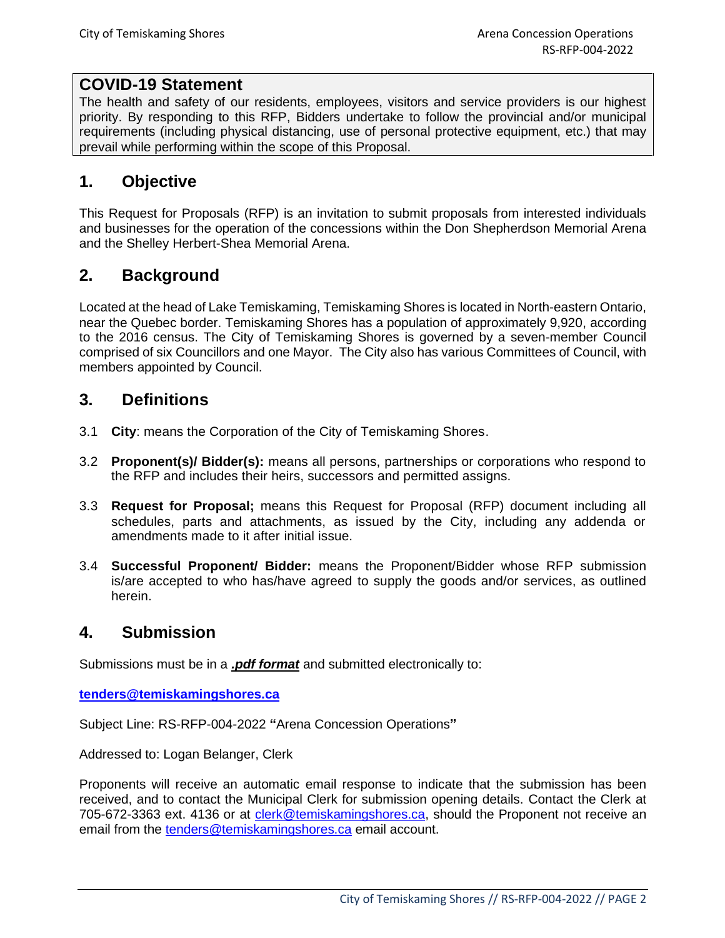## **COVID-19 Statement**

The health and safety of our residents, employees, visitors and service providers is our highest priority. By responding to this RFP, Bidders undertake to follow the provincial and/or municipal requirements (including physical distancing, use of personal protective equipment, etc.) that may prevail while performing within the scope of this Proposal.

## **1. Objective**

This Request for Proposals (RFP) is an invitation to submit proposals from interested individuals and businesses for the operation of the concessions within the Don Shepherdson Memorial Arena and the Shelley Herbert-Shea Memorial Arena.

# **2. Background**

Located at the head of Lake Temiskaming, Temiskaming Shores is located in North-eastern Ontario, near the Quebec border. Temiskaming Shores has a population of approximately 9,920, according to the 2016 census. The City of Temiskaming Shores is governed by a seven-member Council comprised of six Councillors and one Mayor. The City also has various Committees of Council, with members appointed by Council.

## **3. Definitions**

- 3.1 **City**: means the Corporation of the City of Temiskaming Shores.
- 3.2 **Proponent(s)/ Bidder(s):** means all persons, partnerships or corporations who respond to the RFP and includes their heirs, successors and permitted assigns.
- 3.3 **Request for Proposal;** means this Request for Proposal (RFP) document including all schedules, parts and attachments, as issued by the City, including any addenda or amendments made to it after initial issue.
- 3.4 **Successful Proponent/ Bidder:** means the Proponent/Bidder whose RFP submission is/are accepted to who has/have agreed to supply the goods and/or services, as outlined herein.

#### **4. Submission**

Submissions must be in a *.pdf format* and submitted electronically to:

**[tenders@temiskamingshores.ca](mailto:tenders@temiskamingshores.ca)**

Subject Line: RS-RFP-004-2022 **"**Arena Concession Operations**"**

Addressed to: Logan Belanger, Clerk

Proponents will receive an automatic email response to indicate that the submission has been received, and to contact the Municipal Clerk for submission opening details. Contact the Clerk at 705-672-3363 ext. 4136 or at [clerk@temiskamingshores.ca,](mailto:lbelanger@temiskamingshores.ca) should the Proponent not receive an email from the [tenders@temiskamingshores.ca](mailto:tenders@temiskamingshores.ca) email account.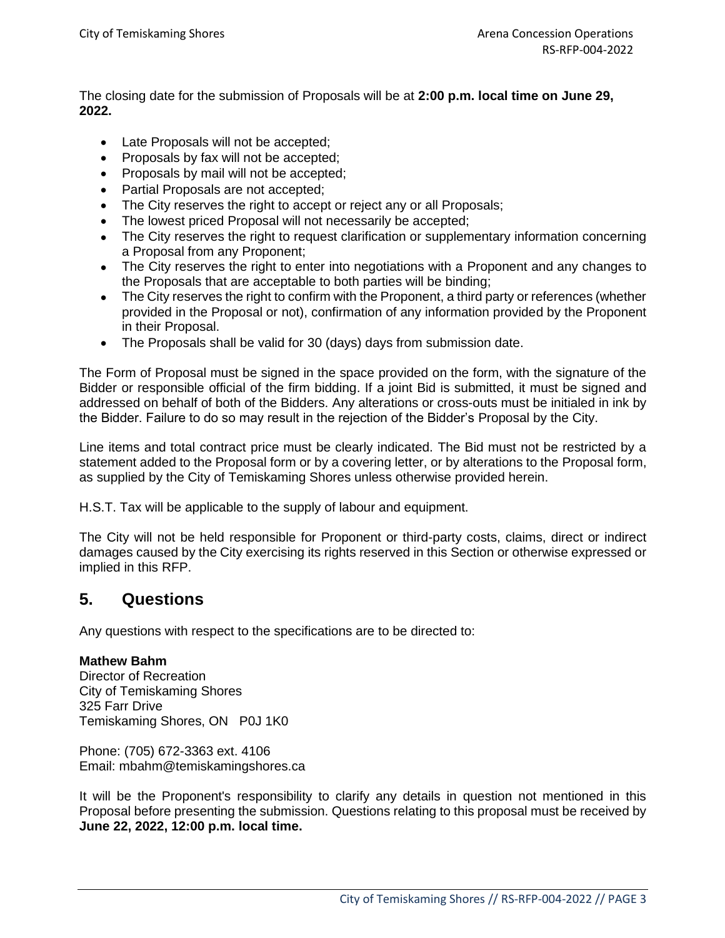The closing date for the submission of Proposals will be at **2:00 p.m. local time on June 29, 2022.**

- Late Proposals will not be accepted;
- Proposals by fax will not be accepted;
- Proposals by mail will not be accepted;
- Partial Proposals are not accepted;
- The City reserves the right to accept or reject any or all Proposals;
- The lowest priced Proposal will not necessarily be accepted;
- The City reserves the right to request clarification or supplementary information concerning a Proposal from any Proponent;
- The City reserves the right to enter into negotiations with a Proponent and any changes to the Proposals that are acceptable to both parties will be binding;
- The City reserves the right to confirm with the Proponent, a third party or references (whether provided in the Proposal or not), confirmation of any information provided by the Proponent in their Proposal.
- The Proposals shall be valid for 30 (days) days from submission date.

The Form of Proposal must be signed in the space provided on the form, with the signature of the Bidder or responsible official of the firm bidding. If a joint Bid is submitted, it must be signed and addressed on behalf of both of the Bidders. Any alterations or cross-outs must be initialed in ink by the Bidder. Failure to do so may result in the rejection of the Bidder's Proposal by the City.

Line items and total contract price must be clearly indicated. The Bid must not be restricted by a statement added to the Proposal form or by a covering letter, or by alterations to the Proposal form, as supplied by the City of Temiskaming Shores unless otherwise provided herein.

H.S.T. Tax will be applicable to the supply of labour and equipment.

The City will not be held responsible for Proponent or third-party costs, claims, direct or indirect damages caused by the City exercising its rights reserved in this Section or otherwise expressed or implied in this RFP.

#### **5. Questions**

Any questions with respect to the specifications are to be directed to:

#### **Mathew Bahm**

Director of Recreation City of Temiskaming Shores 325 Farr Drive Temiskaming Shores, ON P0J 1K0

Phone: (705) 672-3363 ext. 4106 Email: mbahm@temiskamingshores.ca

It will be the Proponent's responsibility to clarify any details in question not mentioned in this Proposal before presenting the submission. Questions relating to this proposal must be received by **June 22, 2022, 12:00 p.m. local time.**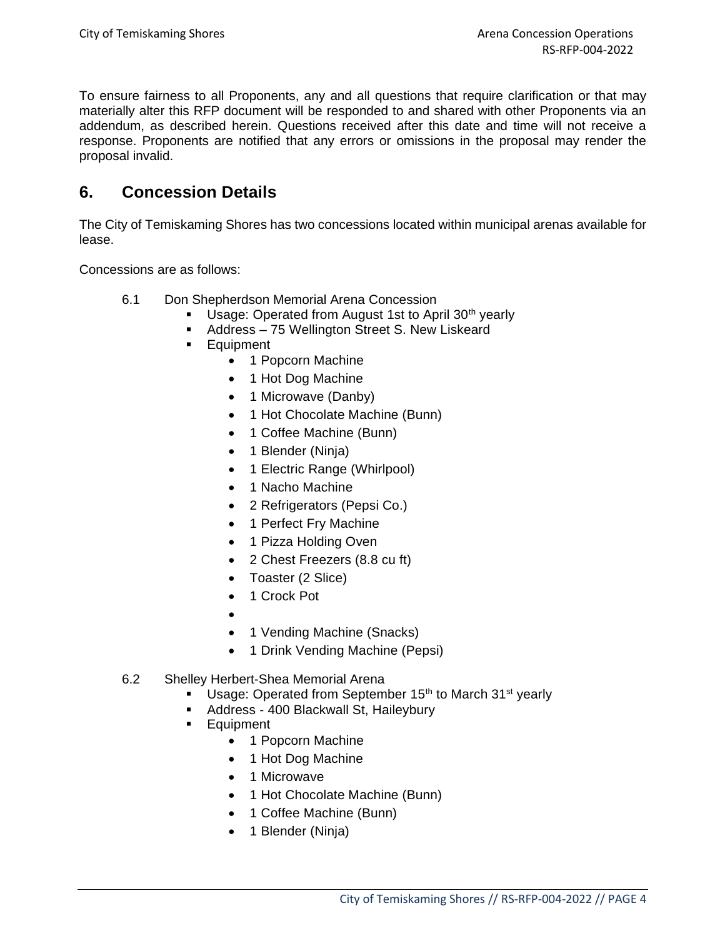To ensure fairness to all Proponents, any and all questions that require clarification or that may materially alter this RFP document will be responded to and shared with other Proponents via an addendum, as described herein. Questions received after this date and time will not receive a response. Proponents are notified that any errors or omissions in the proposal may render the proposal invalid.

## **6. Concession Details**

The City of Temiskaming Shores has two concessions located within municipal arenas available for lease.

Concessions are as follows:

- 6.1 Don Shepherdson Memorial Arena Concession
	- **■** Usage: Operated from August 1st to April 30<sup>th</sup> yearly
	- Address 75 Wellington Street S. New Liskeard
	- Equipment
		- 1 Popcorn Machine
		- 1 Hot Dog Machine
		- 1 Microwave (Danby)
		- 1 Hot Chocolate Machine (Bunn)
		- 1 Coffee Machine (Bunn)
		- 1 Blender (Ninja)
		- 1 Electric Range (Whirlpool)
		- 1 Nacho Machine
		- 2 Refrigerators (Pepsi Co.)
		- 1 Perfect Fry Machine
		- 1 Pizza Holding Oven
		- 2 Chest Freezers (8.8 cu ft)
		- Toaster (2 Slice)
		- 1 Crock Pot
		- •
		- 1 Vending Machine (Snacks)
		- 1 Drink Vending Machine (Pepsi)
- 6.2 Shelley Herbert-Shea Memorial Arena
	- **■** Usage: Operated from September 15<sup>th</sup> to March 31<sup>st</sup> yearly
	- Address 400 Blackwall St, Haileybury
	- Equipment
		- 1 Popcorn Machine
		- 1 Hot Dog Machine
		- 1 Microwave
		- 1 Hot Chocolate Machine (Bunn)
		- 1 Coffee Machine (Bunn)
		- 1 Blender (Ninja)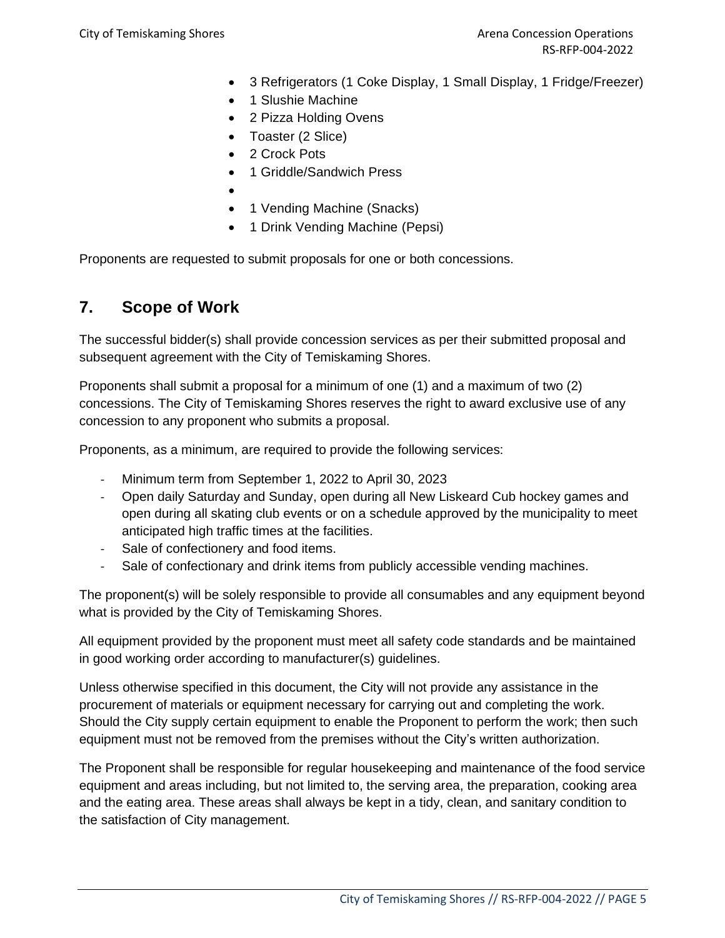- 3 Refrigerators (1 Coke Display, 1 Small Display, 1 Fridge/Freezer)
- 1 Slushie Machine
- 2 Pizza Holding Ovens
- Toaster (2 Slice)
- 2 Crock Pots
- 1 Griddle/Sandwich Press
- • 1 Vending Machine (Snacks)
- 1 Drink Vending Machine (Pepsi)

Proponents are requested to submit proposals for one or both concessions.

#### **7. Scope of Work**

The successful bidder(s) shall provide concession services as per their submitted proposal and subsequent agreement with the City of Temiskaming Shores.

Proponents shall submit a proposal for a minimum of one (1) and a maximum of two (2) concessions. The City of Temiskaming Shores reserves the right to award exclusive use of any concession to any proponent who submits a proposal.

Proponents, as a minimum, are required to provide the following services:

- Minimum term from September 1, 2022 to April 30, 2023
- Open daily Saturday and Sunday, open during all New Liskeard Cub hockey games and open during all skating club events or on a schedule approved by the municipality to meet anticipated high traffic times at the facilities.
- Sale of confectionery and food items.
- Sale of confectionary and drink items from publicly accessible vending machines.

The proponent(s) will be solely responsible to provide all consumables and any equipment beyond what is provided by the City of Temiskaming Shores.

All equipment provided by the proponent must meet all safety code standards and be maintained in good working order according to manufacturer(s) guidelines.

Unless otherwise specified in this document, the City will not provide any assistance in the procurement of materials or equipment necessary for carrying out and completing the work. Should the City supply certain equipment to enable the Proponent to perform the work; then such equipment must not be removed from the premises without the City's written authorization.

The Proponent shall be responsible for regular housekeeping and maintenance of the food service equipment and areas including, but not limited to, the serving area, the preparation, cooking area and the eating area. These areas shall always be kept in a tidy, clean, and sanitary condition to the satisfaction of City management.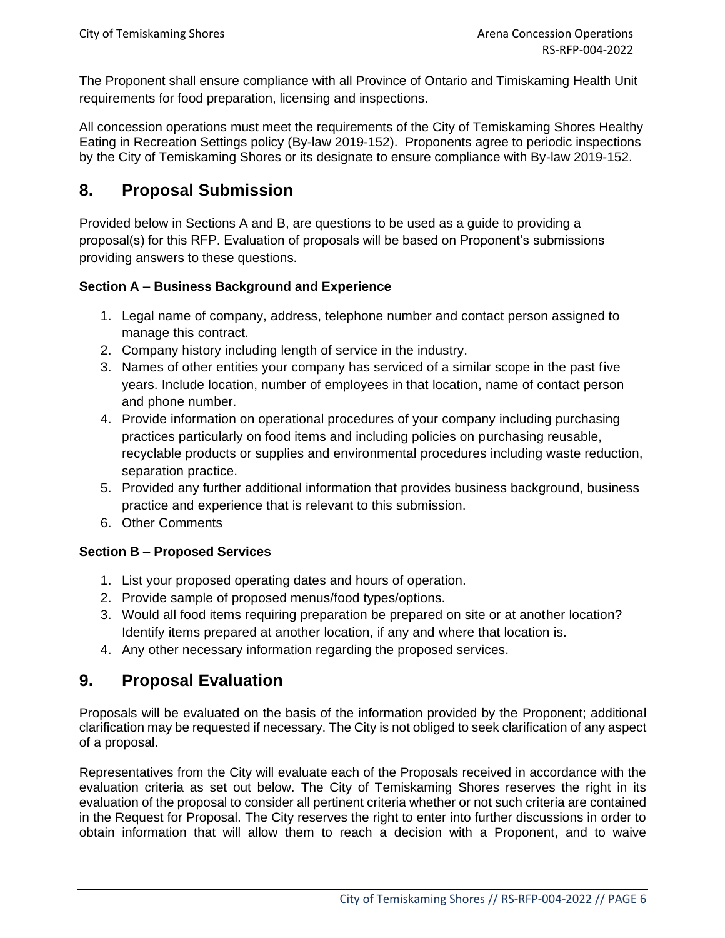The Proponent shall ensure compliance with all Province of Ontario and Timiskaming Health Unit requirements for food preparation, licensing and inspections.

All concession operations must meet the requirements of the City of Temiskaming Shores Healthy Eating in Recreation Settings policy [\(By-law 2019-152\)](https://www.temiskamingshores.ca/uploads/95/Doc_637087337166728158.pdf). Proponents agree to periodic inspections by the City of Temiskaming Shores or its designate to ensure compliance with By-law 2019-152.

## **8. Proposal Submission**

Provided below in Sections A and B, are questions to be used as a guide to providing a proposal(s) for this RFP. Evaluation of proposals will be based on Proponent's submissions providing answers to these questions.

#### **Section A – Business Background and Experience**

- 1. Legal name of company, address, telephone number and contact person assigned to manage this contract.
- 2. Company history including length of service in the industry.
- 3. Names of other entities your company has serviced of a similar scope in the past five years. Include location, number of employees in that location, name of contact person and phone number.
- 4. Provide information on operational procedures of your company including purchasing practices particularly on food items and including policies on purchasing reusable, recyclable products or supplies and environmental procedures including waste reduction, separation practice.
- 5. Provided any further additional information that provides business background, business practice and experience that is relevant to this submission.
- 6. Other Comments

#### **Section B – Proposed Services**

- 1. List your proposed operating dates and hours of operation.
- 2. Provide sample of proposed menus/food types/options.
- 3. Would all food items requiring preparation be prepared on site or at another location? Identify items prepared at another location, if any and where that location is.
- 4. Any other necessary information regarding the proposed services.

## **9. Proposal Evaluation**

Proposals will be evaluated on the basis of the information provided by the Proponent; additional clarification may be requested if necessary. The City is not obliged to seek clarification of any aspect of a proposal.

Representatives from the City will evaluate each of the Proposals received in accordance with the evaluation criteria as set out below. The City of Temiskaming Shores reserves the right in its evaluation of the proposal to consider all pertinent criteria whether or not such criteria are contained in the Request for Proposal. The City reserves the right to enter into further discussions in order to obtain information that will allow them to reach a decision with a Proponent, and to waive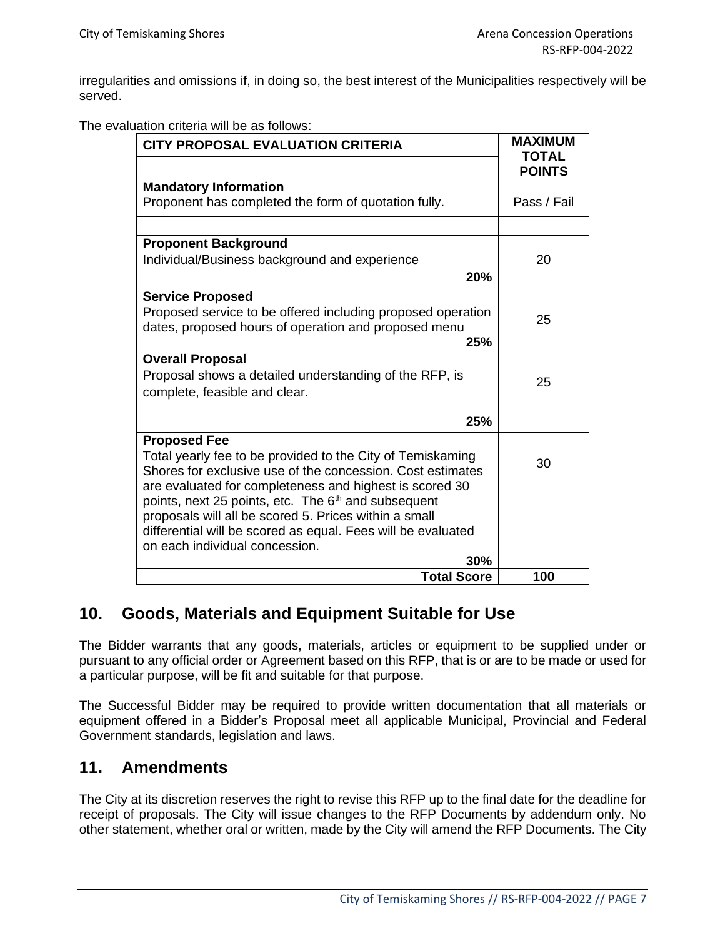irregularities and omissions if, in doing so, the best interest of the Municipalities respectively will be served.

The evaluation criteria will be as follows:

| <b>CITY PROPOSAL EVALUATION CRITERIA</b>                                                                                 | <b>MAXIMUM</b>                |
|--------------------------------------------------------------------------------------------------------------------------|-------------------------------|
|                                                                                                                          | <b>TOTAL</b><br><b>POINTS</b> |
| <b>Mandatory Information</b>                                                                                             |                               |
| Proponent has completed the form of quotation fully.                                                                     | Pass / Fail                   |
|                                                                                                                          |                               |
| <b>Proponent Background</b>                                                                                              |                               |
| Individual/Business background and experience                                                                            | 20                            |
| 20%                                                                                                                      |                               |
| <b>Service Proposed</b>                                                                                                  |                               |
| Proposed service to be offered including proposed operation                                                              | 25                            |
| dates, proposed hours of operation and proposed menu                                                                     |                               |
| 25%                                                                                                                      |                               |
| <b>Overall Proposal</b>                                                                                                  |                               |
| Proposal shows a detailed understanding of the RFP, is                                                                   | 25                            |
| complete, feasible and clear.                                                                                            |                               |
| 25%                                                                                                                      |                               |
| <b>Proposed Fee</b>                                                                                                      |                               |
| Total yearly fee to be provided to the City of Temiskaming<br>Shores for exclusive use of the concession. Cost estimates | 30                            |
| are evaluated for completeness and highest is scored 30                                                                  |                               |
| points, next 25 points, etc. The 6 <sup>th</sup> and subsequent                                                          |                               |
| proposals will all be scored 5. Prices within a small                                                                    |                               |
| differential will be scored as equal. Fees will be evaluated                                                             |                               |
| on each individual concession.                                                                                           |                               |
| 30%                                                                                                                      |                               |
| <b>Total Score</b>                                                                                                       | 100                           |

## **10. Goods, Materials and Equipment Suitable for Use**

The Bidder warrants that any goods, materials, articles or equipment to be supplied under or pursuant to any official order or Agreement based on this RFP, that is or are to be made or used for a particular purpose, will be fit and suitable for that purpose.

The Successful Bidder may be required to provide written documentation that all materials or equipment offered in a Bidder's Proposal meet all applicable Municipal, Provincial and Federal Government standards, legislation and laws.

#### **11. Amendments**

The City at its discretion reserves the right to revise this RFP up to the final date for the deadline for receipt of proposals. The City will issue changes to the RFP Documents by addendum only. No other statement, whether oral or written, made by the City will amend the RFP Documents. The City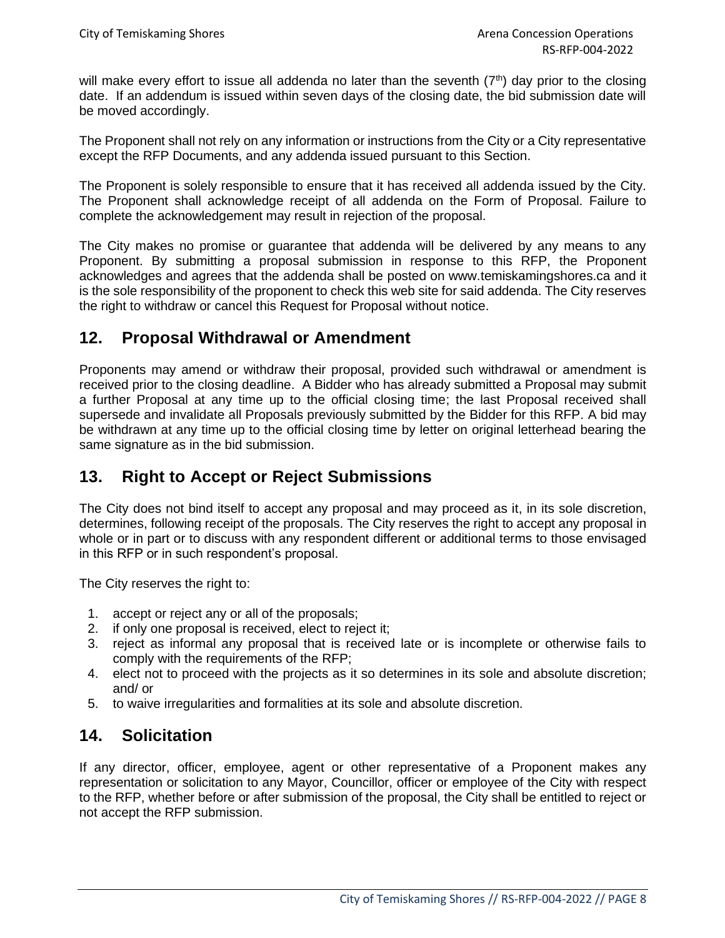will make every effort to issue all addenda no later than the seventh  $(7<sup>th</sup>)$  day prior to the closing date. If an addendum is issued within seven days of the closing date, the bid submission date will be moved accordingly.

The Proponent shall not rely on any information or instructions from the City or a City representative except the RFP Documents, and any addenda issued pursuant to this Section.

The Proponent is solely responsible to ensure that it has received all addenda issued by the City. The Proponent shall acknowledge receipt of all addenda on the Form of Proposal. Failure to complete the acknowledgement may result in rejection of the proposal.

The City makes no promise or guarantee that addenda will be delivered by any means to any Proponent. By submitting a proposal submission in response to this RFP, the Proponent acknowledges and agrees that the addenda shall be posted on www.temiskamingshores.ca and it is the sole responsibility of the proponent to check this web site for said addenda. The City reserves the right to withdraw or cancel this Request for Proposal without notice.

## **12. Proposal Withdrawal or Amendment**

Proponents may amend or withdraw their proposal, provided such withdrawal or amendment is received prior to the closing deadline. A Bidder who has already submitted a Proposal may submit a further Proposal at any time up to the official closing time; the last Proposal received shall supersede and invalidate all Proposals previously submitted by the Bidder for this RFP. A bid may be withdrawn at any time up to the official closing time by letter on original letterhead bearing the same signature as in the bid submission.

## **13. Right to Accept or Reject Submissions**

The City does not bind itself to accept any proposal and may proceed as it, in its sole discretion, determines, following receipt of the proposals. The City reserves the right to accept any proposal in whole or in part or to discuss with any respondent different or additional terms to those envisaged in this RFP or in such respondent's proposal.

The City reserves the right to:

- 1. accept or reject any or all of the proposals;
- 2. if only one proposal is received, elect to reject it;
- 3. reject as informal any proposal that is received late or is incomplete or otherwise fails to comply with the requirements of the RFP;
- 4. elect not to proceed with the projects as it so determines in its sole and absolute discretion; and/ or
- 5. to waive irregularities and formalities at its sole and absolute discretion.

## **14. Solicitation**

If any director, officer, employee, agent or other representative of a Proponent makes any representation or solicitation to any Mayor, Councillor, officer or employee of the City with respect to the RFP, whether before or after submission of the proposal, the City shall be entitled to reject or not accept the RFP submission.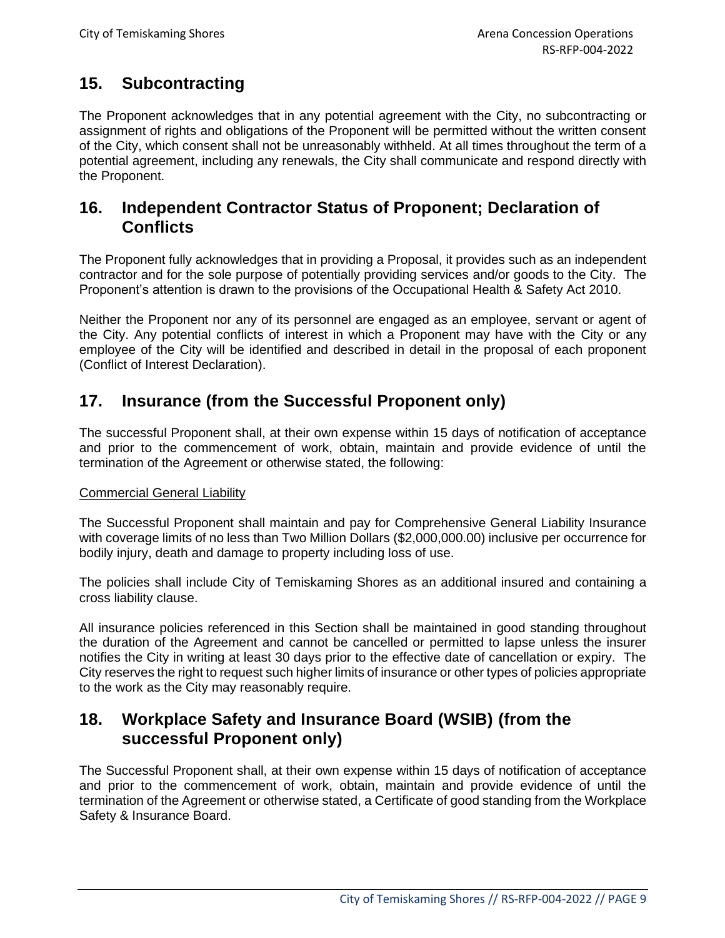# **15. Subcontracting**

The Proponent acknowledges that in any potential agreement with the City, no subcontracting or assignment of rights and obligations of the Proponent will be permitted without the written consent of the City, which consent shall not be unreasonably withheld. At all times throughout the term of a potential agreement, including any renewals, the City shall communicate and respond directly with the Proponent.

#### **16. Independent Contractor Status of Proponent; Declaration of Conflicts**

The Proponent fully acknowledges that in providing a Proposal, it provides such as an independent contractor and for the sole purpose of potentially providing services and/or goods to the City. The Proponent's attention is drawn to the provisions of the Occupational Health & Safety Act 2010.

Neither the Proponent nor any of its personnel are engaged as an employee, servant or agent of the City. Any potential conflicts of interest in which a Proponent may have with the City or any employee of the City will be identified and described in detail in the proposal of each proponent (Conflict of Interest Declaration).

## **17. Insurance (from the Successful Proponent only)**

The successful Proponent shall, at their own expense within 15 days of notification of acceptance and prior to the commencement of work, obtain, maintain and provide evidence of until the termination of the Agreement or otherwise stated, the following:

#### Commercial General Liability

The Successful Proponent shall maintain and pay for Comprehensive General Liability Insurance with coverage limits of no less than Two Million Dollars (\$2,000,000.00) inclusive per occurrence for bodily injury, death and damage to property including loss of use.

The policies shall include City of Temiskaming Shores as an additional insured and containing a cross liability clause.

All insurance policies referenced in this Section shall be maintained in good standing throughout the duration of the Agreement and cannot be cancelled or permitted to lapse unless the insurer notifies the City in writing at least 30 days prior to the effective date of cancellation or expiry. The City reserves the right to request such higher limits of insurance or other types of policies appropriate to the work as the City may reasonably require.

#### **18. Workplace Safety and Insurance Board (WSIB) (from the successful Proponent only)**

The Successful Proponent shall, at their own expense within 15 days of notification of acceptance and prior to the commencement of work, obtain, maintain and provide evidence of until the termination of the Agreement or otherwise stated, a Certificate of good standing from the Workplace Safety & Insurance Board.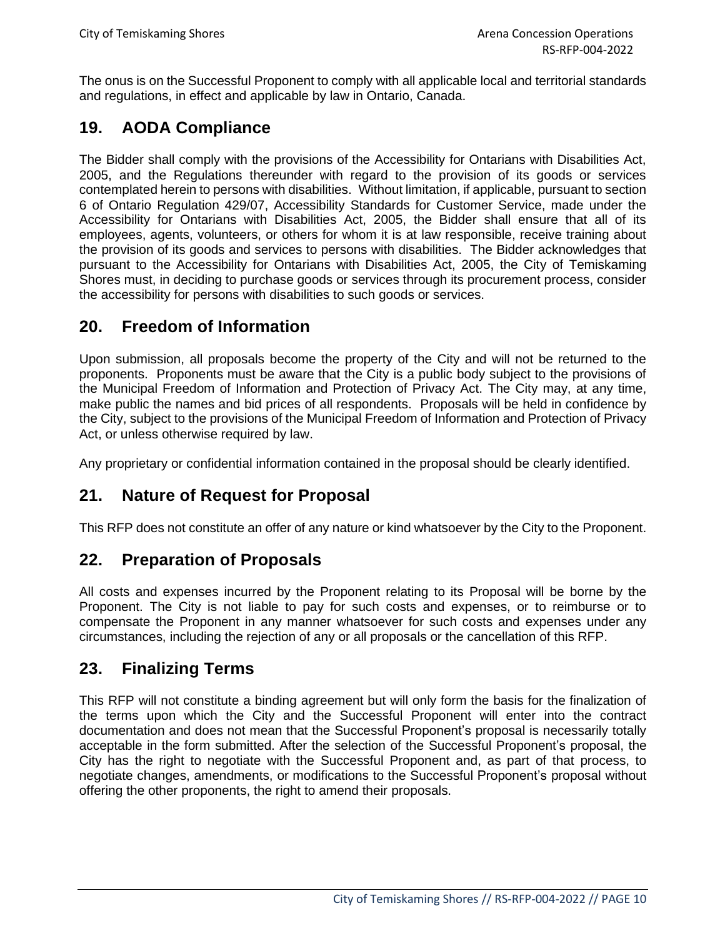The onus is on the Successful Proponent to comply with all applicable local and territorial standards and regulations, in effect and applicable by law in Ontario, Canada.

# **19. AODA Compliance**

The Bidder shall comply with the provisions of the Accessibility for Ontarians with Disabilities Act, 2005, and the Regulations thereunder with regard to the provision of its goods or services contemplated herein to persons with disabilities. Without limitation, if applicable, pursuant to section 6 of Ontario Regulation 429/07, Accessibility Standards for Customer Service, made under the Accessibility for Ontarians with Disabilities Act, 2005, the Bidder shall ensure that all of its employees, agents, volunteers, or others for whom it is at law responsible, receive training about the provision of its goods and services to persons with disabilities. The Bidder acknowledges that pursuant to the Accessibility for Ontarians with Disabilities Act, 2005, the City of Temiskaming Shores must, in deciding to purchase goods or services through its procurement process, consider the accessibility for persons with disabilities to such goods or services.

## **20. Freedom of Information**

Upon submission, all proposals become the property of the City and will not be returned to the proponents. Proponents must be aware that the City is a public body subject to the provisions of the Municipal Freedom of Information and Protection of Privacy Act. The City may, at any time, make public the names and bid prices of all respondents. Proposals will be held in confidence by the City, subject to the provisions of the Municipal Freedom of Information and Protection of Privacy Act, or unless otherwise required by law.

Any proprietary or confidential information contained in the proposal should be clearly identified.

# **21. Nature of Request for Proposal**

This RFP does not constitute an offer of any nature or kind whatsoever by the City to the Proponent.

## **22. Preparation of Proposals**

All costs and expenses incurred by the Proponent relating to its Proposal will be borne by the Proponent. The City is not liable to pay for such costs and expenses, or to reimburse or to compensate the Proponent in any manner whatsoever for such costs and expenses under any circumstances, including the rejection of any or all proposals or the cancellation of this RFP.

## **23. Finalizing Terms**

This RFP will not constitute a binding agreement but will only form the basis for the finalization of the terms upon which the City and the Successful Proponent will enter into the contract documentation and does not mean that the Successful Proponent's proposal is necessarily totally acceptable in the form submitted. After the selection of the Successful Proponent's proposal, the City has the right to negotiate with the Successful Proponent and, as part of that process, to negotiate changes, amendments, or modifications to the Successful Proponent's proposal without offering the other proponents, the right to amend their proposals.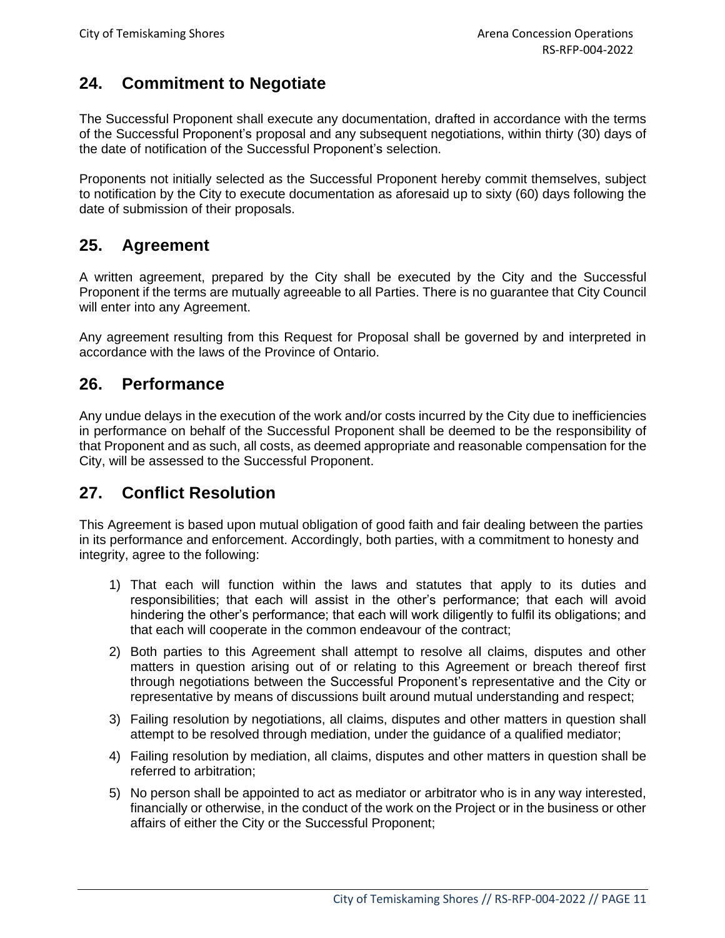# **24. Commitment to Negotiate**

The Successful Proponent shall execute any documentation, drafted in accordance with the terms of the Successful Proponent's proposal and any subsequent negotiations, within thirty (30) days of the date of notification of the Successful Proponent's selection.

Proponents not initially selected as the Successful Proponent hereby commit themselves, subject to notification by the City to execute documentation as aforesaid up to sixty (60) days following the date of submission of their proposals.

## **25. Agreement**

A written agreement, prepared by the City shall be executed by the City and the Successful Proponent if the terms are mutually agreeable to all Parties. There is no guarantee that City Council will enter into any Agreement.

Any agreement resulting from this Request for Proposal shall be governed by and interpreted in accordance with the laws of the Province of Ontario.

#### **26. Performance**

Any undue delays in the execution of the work and/or costs incurred by the City due to inefficiencies in performance on behalf of the Successful Proponent shall be deemed to be the responsibility of that Proponent and as such, all costs, as deemed appropriate and reasonable compensation for the City, will be assessed to the Successful Proponent.

# **27. Conflict Resolution**

This Agreement is based upon mutual obligation of good faith and fair dealing between the parties in its performance and enforcement. Accordingly, both parties, with a commitment to honesty and integrity, agree to the following:

- 1) That each will function within the laws and statutes that apply to its duties and responsibilities; that each will assist in the other's performance; that each will avoid hindering the other's performance; that each will work diligently to fulfil its obligations; and that each will cooperate in the common endeavour of the contract;
- 2) Both parties to this Agreement shall attempt to resolve all claims, disputes and other matters in question arising out of or relating to this Agreement or breach thereof first through negotiations between the Successful Proponent's representative and the City or representative by means of discussions built around mutual understanding and respect;
- 3) Failing resolution by negotiations, all claims, disputes and other matters in question shall attempt to be resolved through mediation, under the guidance of a qualified mediator;
- 4) Failing resolution by mediation, all claims, disputes and other matters in question shall be referred to arbitration;
- 5) No person shall be appointed to act as mediator or arbitrator who is in any way interested, financially or otherwise, in the conduct of the work on the Project or in the business or other affairs of either the City or the Successful Proponent;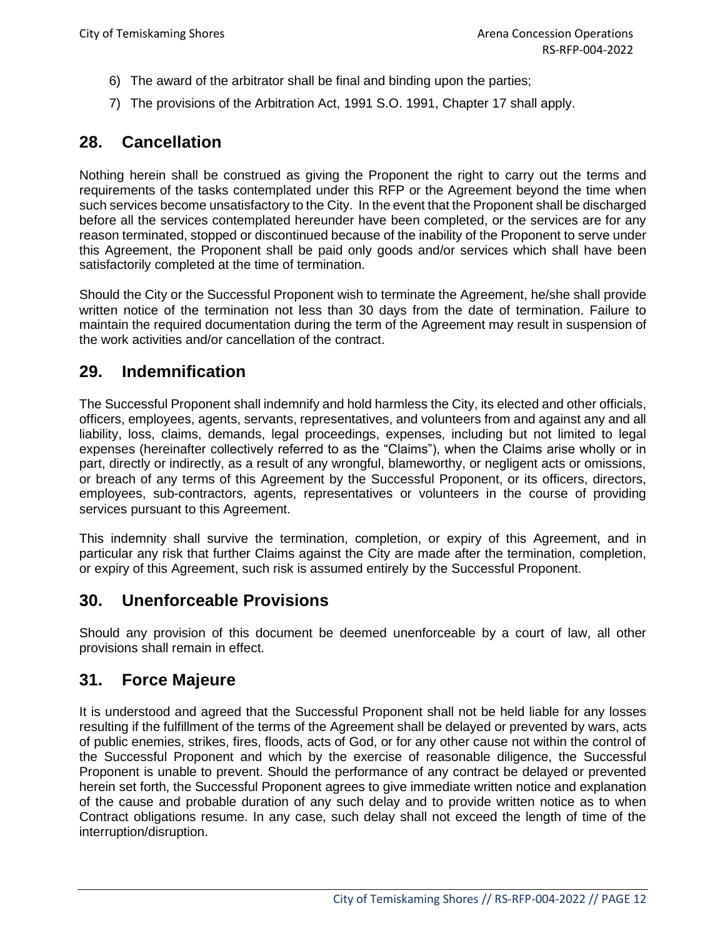- 6) The award of the arbitrator shall be final and binding upon the parties;
- 7) The provisions of the Arbitration Act, 1991 S.O. 1991, Chapter 17 shall apply.

## **28. Cancellation**

Nothing herein shall be construed as giving the Proponent the right to carry out the terms and requirements of the tasks contemplated under this RFP or the Agreement beyond the time when such services become unsatisfactory to the City. In the event that the Proponent shall be discharged before all the services contemplated hereunder have been completed, or the services are for any reason terminated, stopped or discontinued because of the inability of the Proponent to serve under this Agreement, the Proponent shall be paid only goods and/or services which shall have been satisfactorily completed at the time of termination.

Should the City or the Successful Proponent wish to terminate the Agreement, he/she shall provide written notice of the termination not less than 30 days from the date of termination. Failure to maintain the required documentation during the term of the Agreement may result in suspension of the work activities and/or cancellation of the contract.

#### **29. Indemnification**

The Successful Proponent shall indemnify and hold harmless the City, its elected and other officials, officers, employees, agents, servants, representatives, and volunteers from and against any and all liability, loss, claims, demands, legal proceedings, expenses, including but not limited to legal expenses (hereinafter collectively referred to as the "Claims"), when the Claims arise wholly or in part, directly or indirectly, as a result of any wrongful, blameworthy, or negligent acts or omissions, or breach of any terms of this Agreement by the Successful Proponent, or its officers, directors, employees, sub-contractors, agents, representatives or volunteers in the course of providing services pursuant to this Agreement.

This indemnity shall survive the termination, completion, or expiry of this Agreement, and in particular any risk that further Claims against the City are made after the termination, completion, or expiry of this Agreement, such risk is assumed entirely by the Successful Proponent.

## **30. Unenforceable Provisions**

Should any provision of this document be deemed unenforceable by a court of law, all other provisions shall remain in effect.

#### **31. Force Majeure**

It is understood and agreed that the Successful Proponent shall not be held liable for any losses resulting if the fulfillment of the terms of the Agreement shall be delayed or prevented by wars, acts of public enemies, strikes, fires, floods, acts of God, or for any other cause not within the control of the Successful Proponent and which by the exercise of reasonable diligence, the Successful Proponent is unable to prevent. Should the performance of any contract be delayed or prevented herein set forth, the Successful Proponent agrees to give immediate written notice and explanation of the cause and probable duration of any such delay and to provide written notice as to when Contract obligations resume. In any case, such delay shall not exceed the length of time of the interruption/disruption.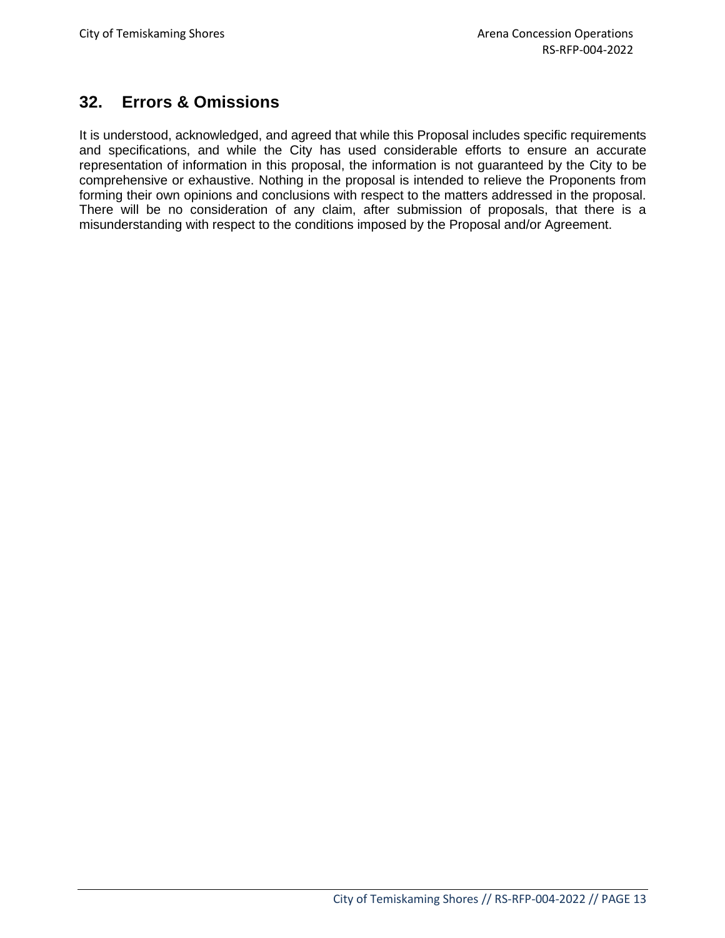# **32. Errors & Omissions**

It is understood, acknowledged, and agreed that while this Proposal includes specific requirements and specifications, and while the City has used considerable efforts to ensure an accurate representation of information in this proposal, the information is not guaranteed by the City to be comprehensive or exhaustive. Nothing in the proposal is intended to relieve the Proponents from forming their own opinions and conclusions with respect to the matters addressed in the proposal. There will be no consideration of any claim, after submission of proposals, that there is a misunderstanding with respect to the conditions imposed by the Proposal and/or Agreement.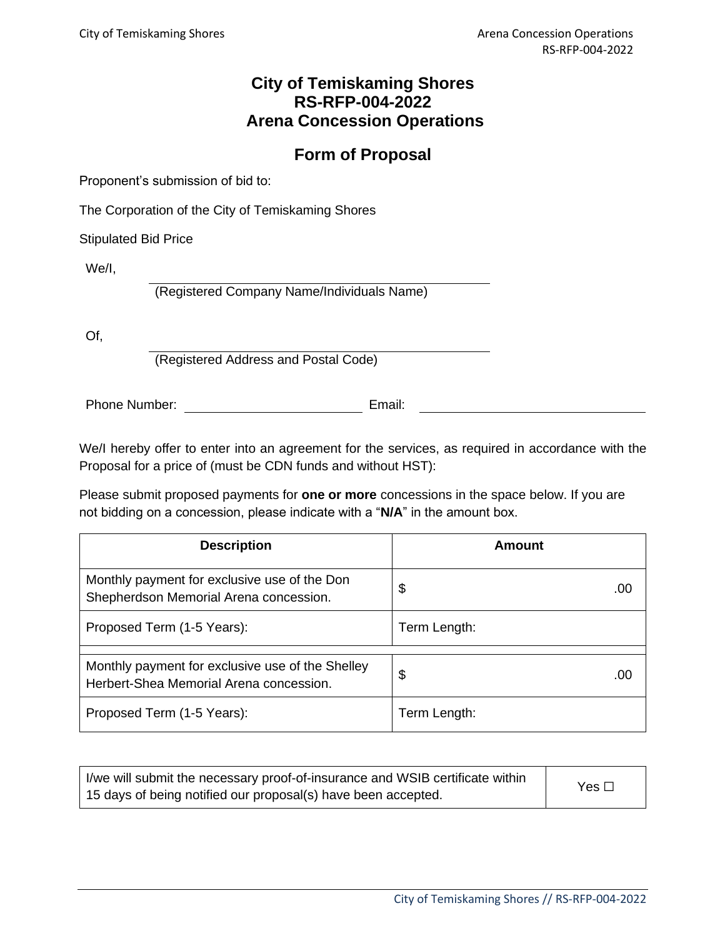# **Form of Proposal**

Proponent's submission of bid to:

The Corporation of the City of Temiskaming Shores

Stipulated Bid Price

We/I,

(Registered Company Name/Individuals Name)

Of,

(Registered Address and Postal Code)

Phone Number: Email:

We/I hereby offer to enter into an agreement for the services, as required in accordance with the Proposal for a price of (must be CDN funds and without HST):

Please submit proposed payments for **one or more** concessions in the space below. If you are not bidding on a concession, please indicate with a "**N/A**" in the amount box.

| <b>Description</b>                                                                          | Amount       |
|---------------------------------------------------------------------------------------------|--------------|
| Monthly payment for exclusive use of the Don<br>Shepherdson Memorial Arena concession.      | \$<br>.00    |
| Proposed Term (1-5 Years):                                                                  | Term Length: |
|                                                                                             |              |
| Monthly payment for exclusive use of the Shelley<br>Herbert-Shea Memorial Arena concession. | \$<br>.00    |
| Proposed Term (1-5 Years):                                                                  | Term Length: |

| I/we will submit the necessary proof-of-insurance and WSIB certificate within | Yes $\square$ |
|-------------------------------------------------------------------------------|---------------|
| 15 days of being notified our proposal(s) have been accepted.                 |               |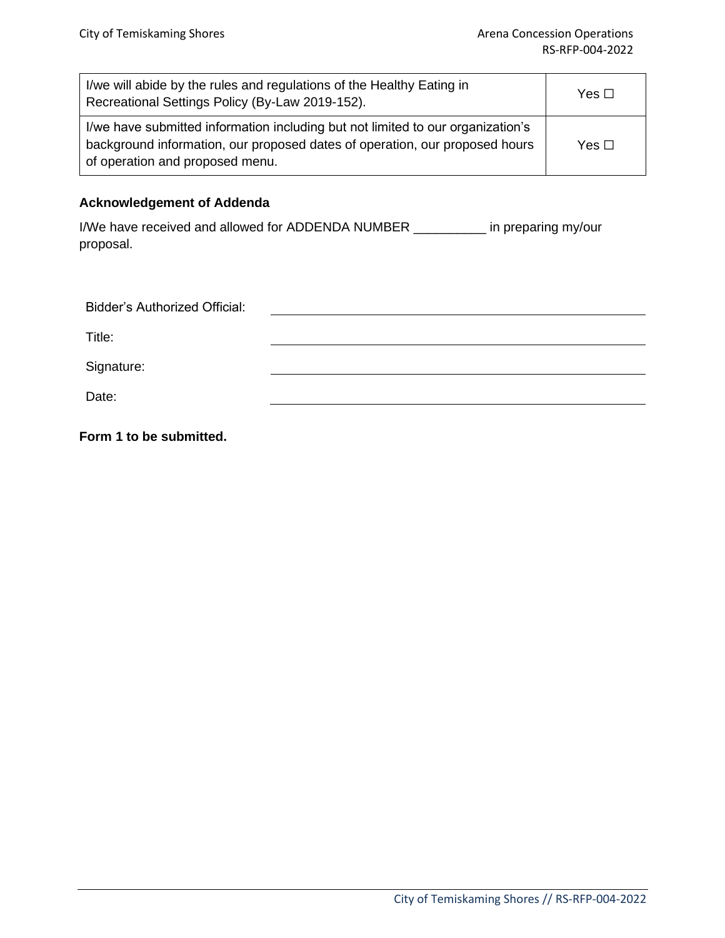| I/we will abide by the rules and regulations of the Healthy Eating in<br>Recreational Settings Policy (By-Law 2019-152).                                                                          | Yes $\Box$    |
|---------------------------------------------------------------------------------------------------------------------------------------------------------------------------------------------------|---------------|
| I/we have submitted information including but not limited to our organization's<br>background information, our proposed dates of operation, our proposed hours<br>of operation and proposed menu. | Yes $\square$ |

#### **Acknowledgement of Addenda**

I/We have received and allowed for ADDENDA NUMBER \_\_\_\_\_\_\_\_\_\_ in preparing my/our proposal.

| <b>Bidder's Authorized Official:</b> |  |
|--------------------------------------|--|
| Title:                               |  |
| Signature:                           |  |
| Date:                                |  |

**Form 1 to be submitted.**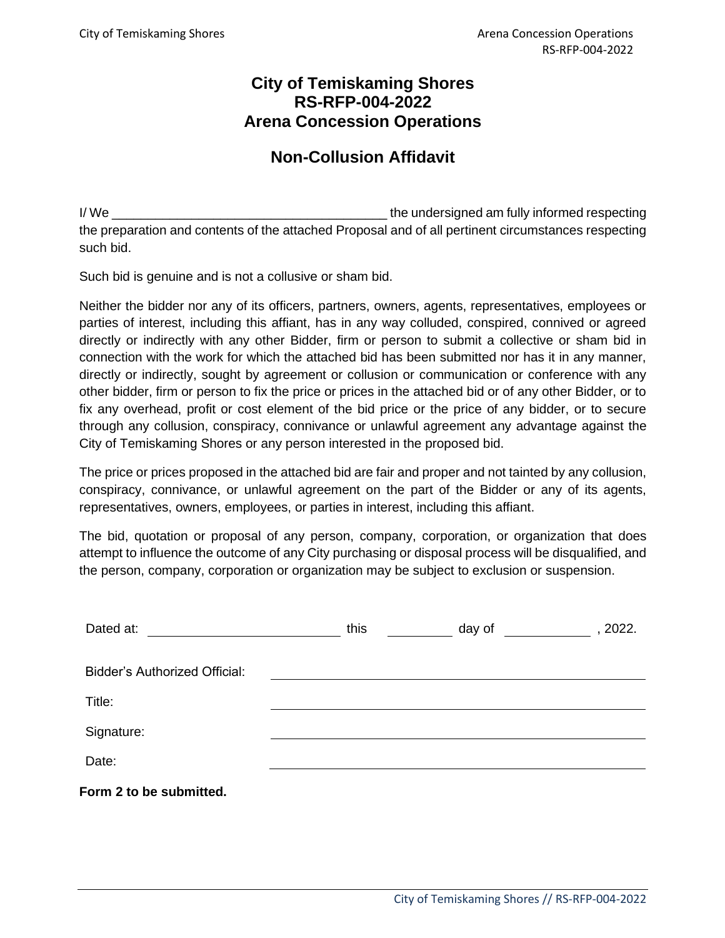# **Non-Collusion Affidavit**

I/ We \_\_\_\_\_\_\_\_\_\_\_\_\_\_\_\_\_\_\_\_\_\_\_\_\_\_\_\_\_\_\_\_\_\_\_\_\_\_ the undersigned am fully informed respecting the preparation and contents of the attached Proposal and of all pertinent circumstances respecting such bid.

Such bid is genuine and is not a collusive or sham bid.

Neither the bidder nor any of its officers, partners, owners, agents, representatives, employees or parties of interest, including this affiant, has in any way colluded, conspired, connived or agreed directly or indirectly with any other Bidder, firm or person to submit a collective or sham bid in connection with the work for which the attached bid has been submitted nor has it in any manner, directly or indirectly, sought by agreement or collusion or communication or conference with any other bidder, firm or person to fix the price or prices in the attached bid or of any other Bidder, or to fix any overhead, profit or cost element of the bid price or the price of any bidder, or to secure through any collusion, conspiracy, connivance or unlawful agreement any advantage against the City of Temiskaming Shores or any person interested in the proposed bid.

The price or prices proposed in the attached bid are fair and proper and not tainted by any collusion, conspiracy, connivance, or unlawful agreement on the part of the Bidder or any of its agents, representatives, owners, employees, or parties in interest, including this affiant.

The bid, quotation or proposal of any person, company, corporation, or organization that does attempt to influence the outcome of any City purchasing or disposal process will be disqualified, and the person, company, corporation or organization may be subject to exclusion or suspension.

| Dated at:                            | this | day of | , 2022. |
|--------------------------------------|------|--------|---------|
| <b>Bidder's Authorized Official:</b> |      |        |         |
| Title:                               |      |        |         |
| Signature:                           |      |        |         |
| Date:                                |      |        |         |
| Form 2 to be submitted.              |      |        |         |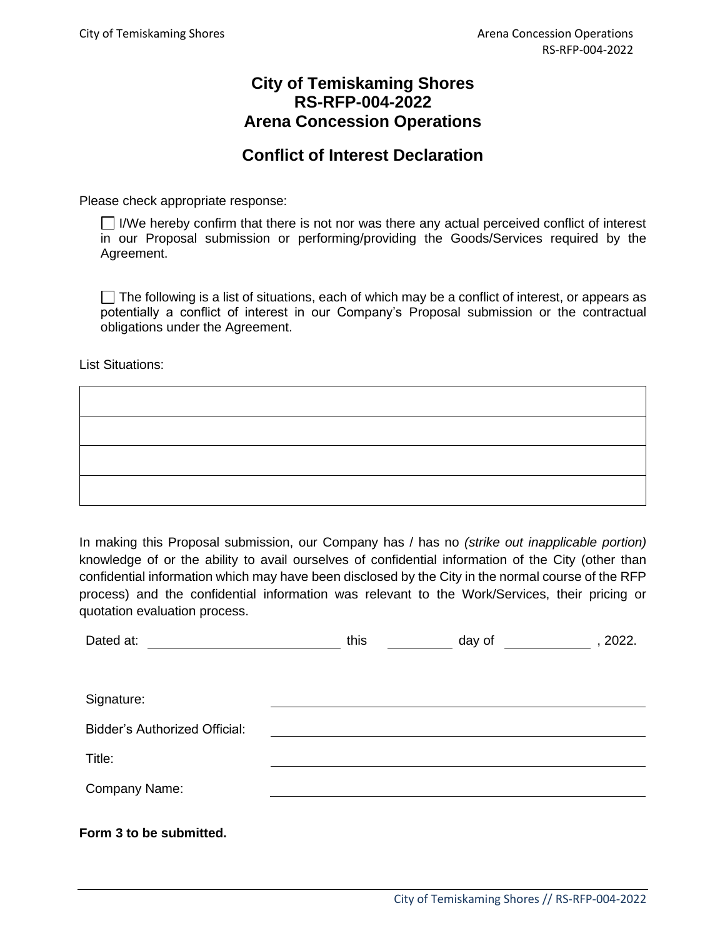#### **Conflict of Interest Declaration**

Please check appropriate response:

 $\Box$  I/We hereby confirm that there is not nor was there any actual perceived conflict of interest in our Proposal submission or performing/providing the Goods/Services required by the Agreement.

 $\Box$  The following is a list of situations, each of which may be a conflict of interest, or appears as potentially a conflict of interest in our Company's Proposal submission or the contractual obligations under the Agreement.

List Situations:

In making this Proposal submission, our Company has / has no *(strike out inapplicable portion)*  knowledge of or the ability to avail ourselves of confidential information of the City (other than confidential information which may have been disclosed by the City in the normal course of the RFP process) and the confidential information was relevant to the Work/Services, their pricing or quotation evaluation process.

| Dated at:                            | this | day of | , 2022. |
|--------------------------------------|------|--------|---------|
|                                      |      |        |         |
|                                      |      |        |         |
| Signature:                           |      |        |         |
| <b>Bidder's Authorized Official:</b> |      |        |         |
| Title:                               |      |        |         |
| Company Name:                        |      |        |         |
|                                      |      |        |         |
| Form 3 to be submitted.              |      |        |         |